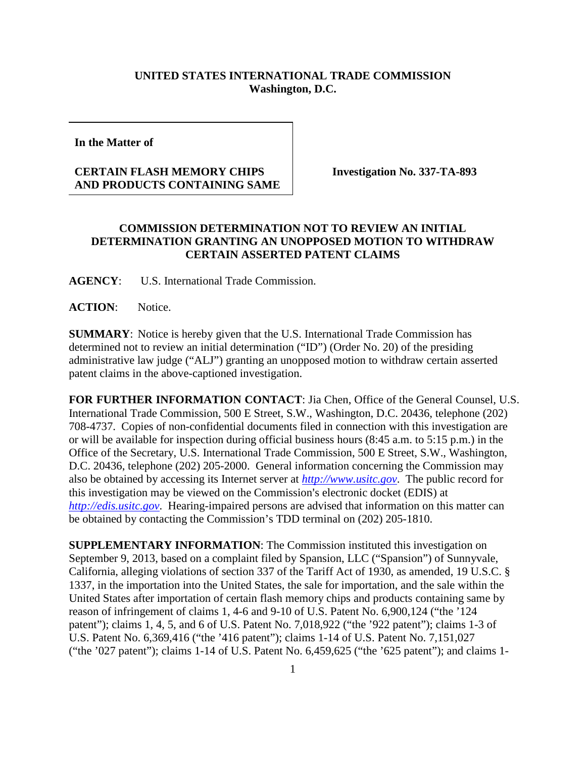## **UNITED STATES INTERNATIONAL TRADE COMMISSION Washington, D.C.**

**In the Matter of** 

## **CERTAIN FLASH MEMORY CHIPS AND PRODUCTS CONTAINING SAME**

**Investigation No. 337-TA-893**

## **COMMISSION DETERMINATION NOT TO REVIEW AN INITIAL DETERMINATION GRANTING AN UNOPPOSED MOTION TO WITHDRAW CERTAIN ASSERTED PATENT CLAIMS**

**AGENCY**: U.S. International Trade Commission.

ACTION: Notice.

**SUMMARY**: Notice is hereby given that the U.S. International Trade Commission has determined not to review an initial determination ("ID") (Order No. 20) of the presiding administrative law judge ("ALJ") granting an unopposed motion to withdraw certain asserted patent claims in the above-captioned investigation.

**FOR FURTHER INFORMATION CONTACT**: Jia Chen, Office of the General Counsel, U.S. International Trade Commission, 500 E Street, S.W., Washington, D.C. 20436, telephone (202) 708-4737. Copies of non-confidential documents filed in connection with this investigation are or will be available for inspection during official business hours (8:45 a.m. to 5:15 p.m.) in the Office of the Secretary, U.S. International Trade Commission, 500 E Street, S.W., Washington, D.C. 20436, telephone (202) 205-2000. General information concerning the Commission may also be obtained by accessing its Internet server at *[http://www.usitc.gov](http://www.usitc.gov/)*. The public record for this investigation may be viewed on the Commission's electronic docket (EDIS) at *[http://edis.usitc.gov](http://edis.usitc.gov/)*. Hearing-impaired persons are advised that information on this matter can be obtained by contacting the Commission's TDD terminal on (202) 205-1810.

**SUPPLEMENTARY INFORMATION**: The Commission instituted this investigation on September 9, 2013, based on a complaint filed by Spansion, LLC ("Spansion") of Sunnyvale, California, alleging violations of section 337 of the Tariff Act of 1930, as amended, 19 U.S.C. § 1337, in the importation into the United States, the sale for importation, and the sale within the United States after importation of certain flash memory chips and products containing same by reason of infringement of claims 1, 4-6 and 9-10 of U.S. Patent No. 6,900,124 ("the '124 patent"); claims 1, 4, 5, and 6 of U.S. Patent No. 7,018,922 ("the '922 patent"); claims 1-3 of U.S. Patent No. 6,369,416 ("the '416 patent"); claims 1-14 of U.S. Patent No. 7,151,027 ("the '027 patent"); claims 1-14 of U.S. Patent No. 6,459,625 ("the '625 patent"); and claims 1